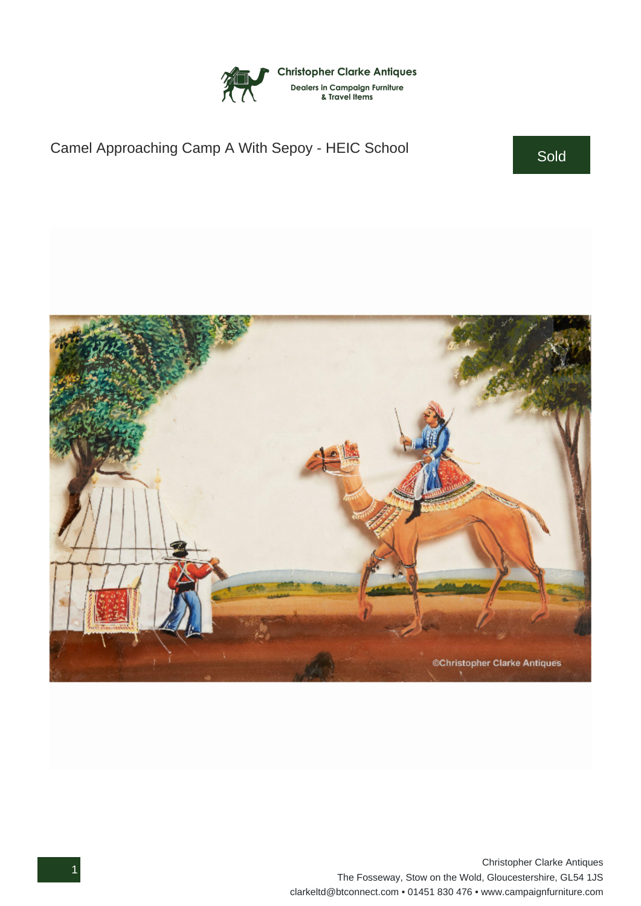

## Camel Approaching Camp A With Sepoy - HEIC School Sold



1